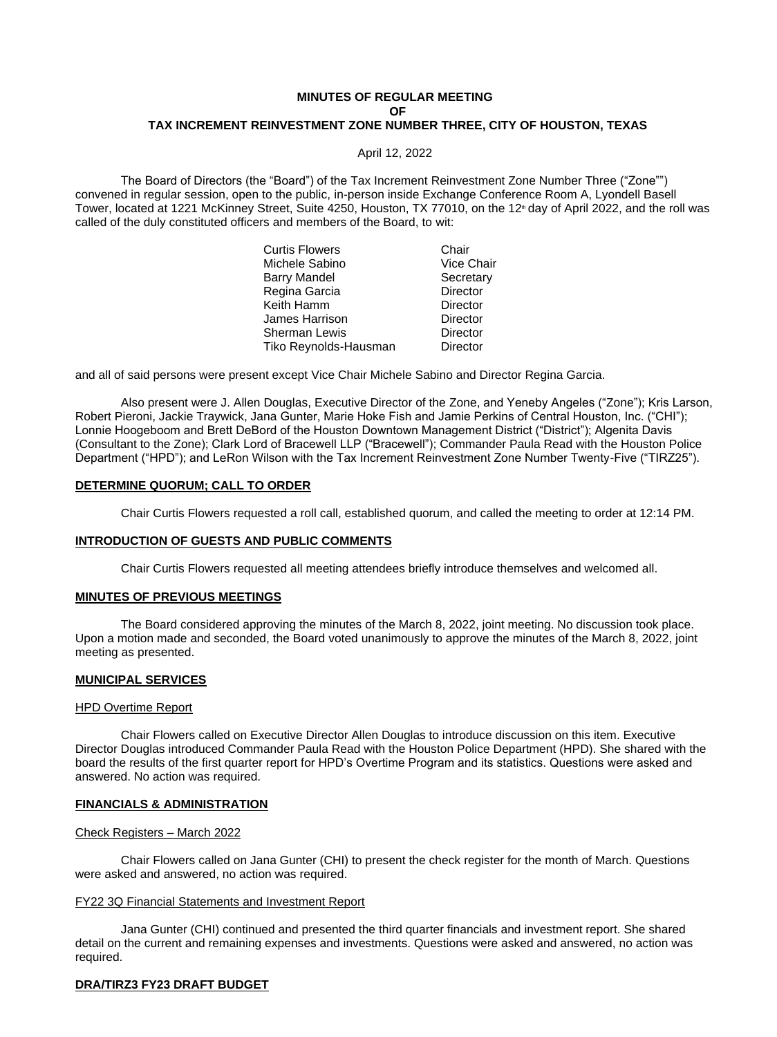## **MINUTES OF REGULAR MEETING OF TAX INCREMENT REINVESTMENT ZONE NUMBER THREE, CITY OF HOUSTON, TEXAS**

April 12, 2022

The Board of Directors (the "Board") of the Tax Increment Reinvestment Zone Number Three ("Zone"") convened in regular session, open to the public, in-person inside Exchange Conference Room A, Lyondell Basell Tower, located at 1221 McKinney Street, Suite 4250, Houston, TX 77010, on the 12<sup>th</sup> day of April 2022, and the roll was called of the duly constituted officers and members of the Board, to wit:

| Chair      |
|------------|
| Vice Chair |
| Secretary  |
| Director   |
| Director   |
| Director   |
| Director   |
| Director   |
|            |

and all of said persons were present except Vice Chair Michele Sabino and Director Regina Garcia.

Also present were J. Allen Douglas, Executive Director of the Zone, and Yeneby Angeles ("Zone"); Kris Larson, Robert Pieroni, Jackie Traywick, Jana Gunter, Marie Hoke Fish and Jamie Perkins of Central Houston, Inc. ("CHI"); Lonnie Hoogeboom and Brett DeBord of the Houston Downtown Management District ("District"); Algenita Davis (Consultant to the Zone); Clark Lord of Bracewell LLP ("Bracewell"); Commander Paula Read with the Houston Police Department ("HPD"); and LeRon Wilson with the Tax Increment Reinvestment Zone Number Twenty-Five ("TIRZ25").

### **DETERMINE QUORUM; CALL TO ORDER**

Chair Curtis Flowers requested a roll call, established quorum, and called the meeting to order at 12:14 PM.

### **INTRODUCTION OF GUESTS AND PUBLIC COMMENTS**

Chair Curtis Flowers requested all meeting attendees briefly introduce themselves and welcomed all.

#### **MINUTES OF PREVIOUS MEETINGS**

The Board considered approving the minutes of the March 8, 2022, joint meeting. No discussion took place. Upon a motion made and seconded, the Board voted unanimously to approve the minutes of the March 8, 2022, joint meeting as presented.

# **MUNICIPAL SERVICES**

#### HPD Overtime Report

Chair Flowers called on Executive Director Allen Douglas to introduce discussion on this item. Executive Director Douglas introduced Commander Paula Read with the Houston Police Department (HPD). She shared with the board the results of the first quarter report for HPD's Overtime Program and its statistics. Questions were asked and answered. No action was required.

## **FINANCIALS & ADMINISTRATION**

#### Check Registers – March 2022

Chair Flowers called on Jana Gunter (CHI) to present the check register for the month of March. Questions were asked and answered, no action was required.

#### FY22 3Q Financial Statements and Investment Report

Jana Gunter (CHI) continued and presented the third quarter financials and investment report. She shared detail on the current and remaining expenses and investments. Questions were asked and answered, no action was required.

#### **DRA/TIRZ3 FY23 DRAFT BUDGET**